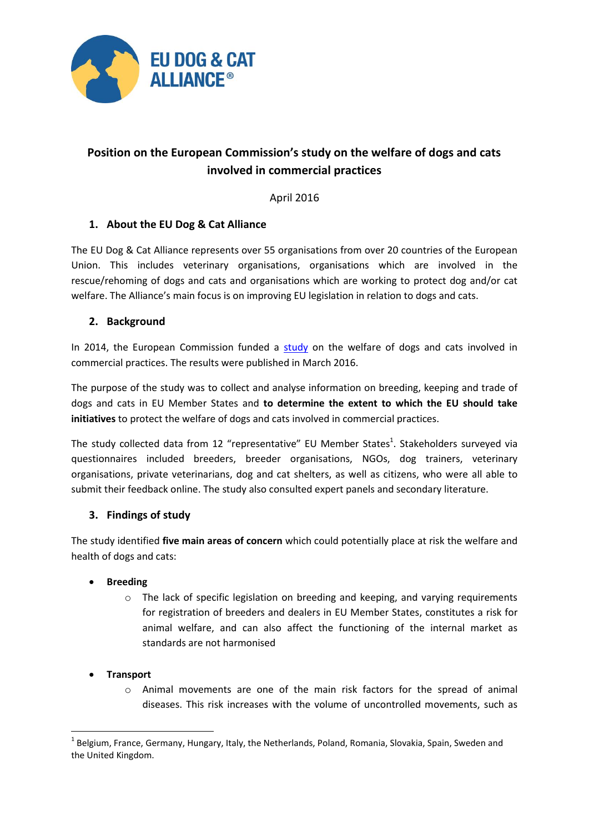

# **Position on the European Commission's study on the welfare of dogs and cats involved in commercial practices**

April 2016

# **1. About the EU Dog & Cat Alliance**

The EU Dog & Cat Alliance represents over 55 organisations from over 20 countries of the European Union. This includes veterinary organisations, organisations which are involved in the rescue/rehoming of dogs and cats and organisations which are working to protect dog and/or cat welfare. The Alliance's main focus is on improving EU legislation in relation to dogs and cats.

# **2. Background**

In 2014, the European Commission funded a [study](http://ec.europa.eu/food/animals/docs/aw_eu-strategy_study_dogs-cats-commercial-practices_en.pdf) on the welfare of dogs and cats involved in commercial practices. The results were published in March 2016.

The purpose of the study was to collect and analyse information on breeding, keeping and trade of dogs and cats in EU Member States and **to determine the extent to which the EU should take initiatives** to protect the welfare of dogs and cats involved in commercial practices.

The study collected data from 12 "representative" EU Member States<sup>1</sup>. Stakeholders surveyed via questionnaires included breeders, breeder organisations, NGOs, dog trainers, veterinary organisations, private veterinarians, dog and cat shelters, as well as citizens, who were all able to submit their feedback online. The study also consulted expert panels and secondary literature.

# **3. Findings of study**

The study identified **five main areas of concern** which could potentially place at risk the welfare and health of dogs and cats:

# **Breeding**

o The lack of specific legislation on breeding and keeping, and varying requirements for registration of breeders and dealers in EU Member States, constitutes a risk for animal welfare, and can also affect the functioning of the internal market as standards are not harmonised

# **Transport**

o Animal movements are one of the main risk factors for the spread of animal diseases. This risk increases with the volume of uncontrolled movements, such as

<sup>1</sup> <sup>1</sup> Belgium, France, Germany, Hungary, Italy, the Netherlands, Poland, Romania, Slovakia, Spain, Sweden and the United Kingdom.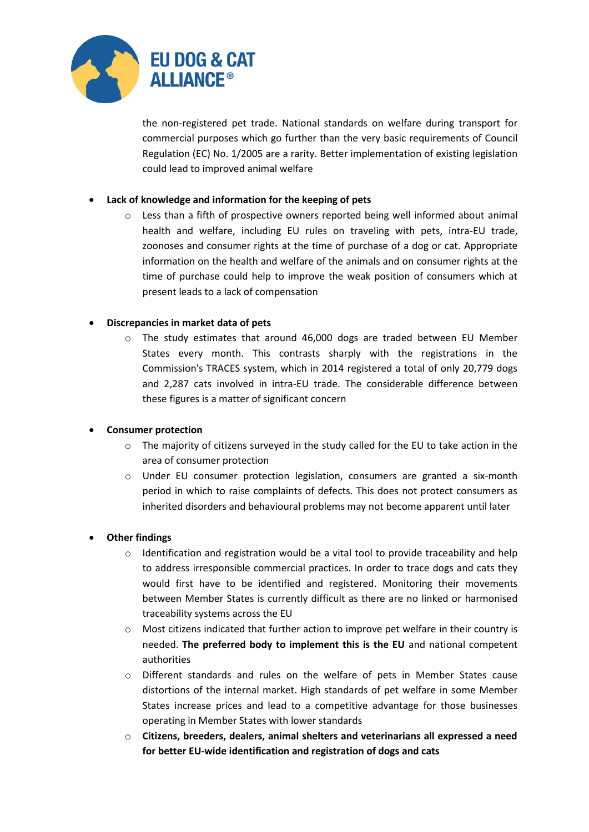

the non-registered pet trade. National standards on welfare during transport for commercial purposes which go further than the very basic requirements of Council Regulation (EC) No. 1/2005 are a rarity. Better implementation of existing legislation could lead to improved animal welfare

#### **Lack of knowledge and information for the keeping of pets**

 $\circ$  Less than a fifth of prospective owners reported being well informed about animal health and welfare, including EU rules on traveling with pets, intra-EU trade, zoonoses and consumer rights at the time of purchase of a dog or cat. Appropriate information on the health and welfare of the animals and on consumer rights at the time of purchase could help to improve the weak position of consumers which at present leads to a lack of compensation

#### **Discrepancies in market data of pets**

o The study estimates that around 46,000 dogs are traded between EU Member States every month. This contrasts sharply with the registrations in the Commission's TRACES system, which in 2014 registered a total of only 20,779 dogs and 2,287 cats involved in intra-EU trade. The considerable difference between these figures is a matter of significant concern

# **Consumer protection**

- $\circ$  The majority of citizens surveyed in the study called for the EU to take action in the area of consumer protection
- o Under EU consumer protection legislation, consumers are granted a six-month period in which to raise complaints of defects. This does not protect consumers as inherited disorders and behavioural problems may not become apparent until later

# **Other findings**

- $\circ$  Identification and registration would be a vital tool to provide traceability and help to address irresponsible commercial practices. In order to trace dogs and cats they would first have to be identified and registered. Monitoring their movements between Member States is currently difficult as there are no linked or harmonised traceability systems across the EU
- o Most citizens indicated that further action to improve pet welfare in their country is needed. **The preferred body to implement this is the EU** and national competent authorities
- o Different standards and rules on the welfare of pets in Member States cause distortions of the internal market. High standards of pet welfare in some Member States increase prices and lead to a competitive advantage for those businesses operating in Member States with lower standards
- o **Citizens, breeders, dealers, animal shelters and veterinarians all expressed a need for better EU-wide identification and registration of dogs and cats**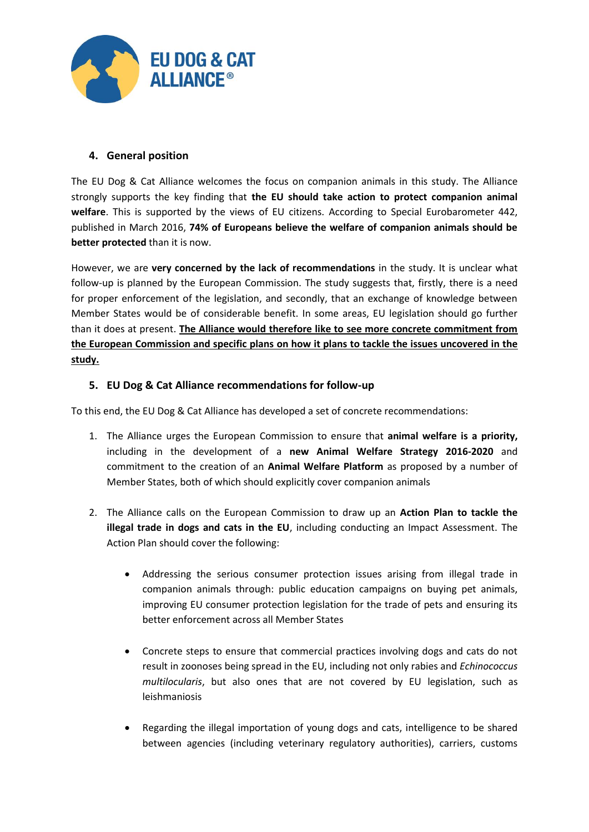

# **4. General position**

The EU Dog & Cat Alliance welcomes the focus on companion animals in this study. The Alliance strongly supports the key finding that **the EU should take action to protect companion animal welfare**. This is supported by the views of EU citizens. According to Special Eurobarometer 442, published in March 2016, **74% of Europeans believe the welfare of companion animals should be better protected** than it is now.

However, we are **very concerned by the lack of recommendations** in the study. It is unclear what follow-up is planned by the European Commission. The study suggests that, firstly, there is a need for proper enforcement of the legislation, and secondly, that an exchange of knowledge between Member States would be of considerable benefit. In some areas, EU legislation should go further than it does at present. **The Alliance would therefore like to see more concrete commitment from the European Commission and specific plans on how it plans to tackle the issues uncovered in the study.**

# **5. EU Dog & Cat Alliance recommendations for follow-up**

To this end, the EU Dog & Cat Alliance has developed a set of concrete recommendations:

- 1. The Alliance urges the European Commission to ensure that **animal welfare is a priority,** including in the development of a **new Animal Welfare Strategy 2016-2020** and commitment to the creation of an **Animal Welfare Platform** as proposed by a number of Member States, both of which should explicitly cover companion animals
- 2. The Alliance calls on the European Commission to draw up an **Action Plan to tackle the illegal trade in dogs and cats in the EU**, including conducting an Impact Assessment. The Action Plan should cover the following:
	- Addressing the serious consumer protection issues arising from illegal trade in companion animals through: public education campaigns on buying pet animals, improving EU consumer protection legislation for the trade of pets and ensuring its better enforcement across all Member States
	- Concrete steps to ensure that commercial practices involving dogs and cats do not result in zoonoses being spread in the EU, including not only rabies and *Echinococcus multilocularis*, but also ones that are not covered by EU legislation, such as leishmaniosis
	- Regarding the illegal importation of young dogs and cats, intelligence to be shared between agencies (including veterinary regulatory authorities), carriers, customs